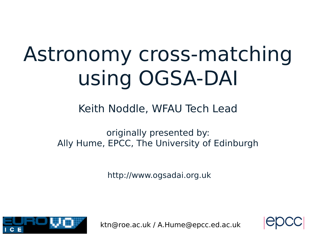# Astronomy cross-matching using OGSA-DAI

#### Keith Noddle, WFAU Tech Lead

originally presented by: Ally Hume, EPCC, The University of Edinburgh

http://www.ogsadai.org.uk



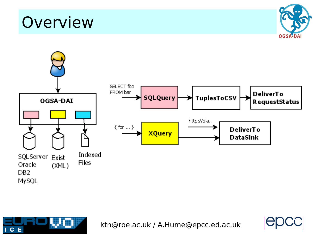**Overview** 







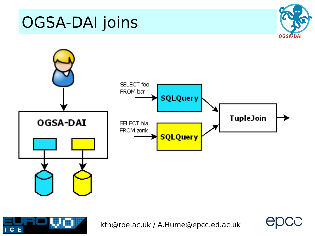#### OGSA-DAI joins







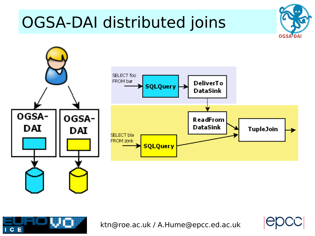#### OGSA-DAI distributed joins





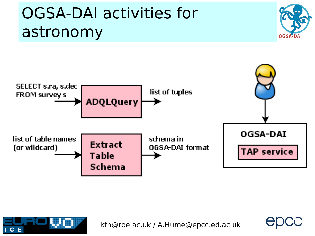#### OGSA-DAI activities for astronomy







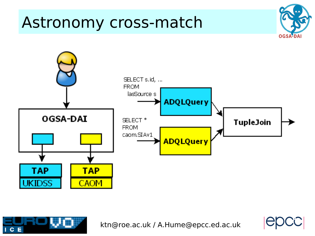#### Astronomy cross-match







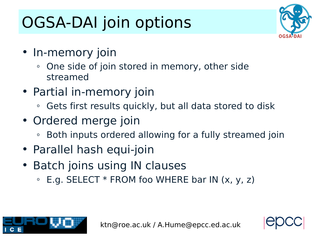## OGSA-DAI join options



**7**

- In-memory join
	- One side of join stored in memory, other side streamed
- Partial in-memory join
	- <sup>o</sup> Gets first results quickly, but all data stored to disk
- Ordered merge join
	- **EXA)** Both inputs ordered allowing for a fully streamed join
- Parallel hash equi-join
- Batch joins using IN clauses
	- $\circ$  E.g. SELECT  $*$  FROM foo WHERE bar IN  $(x, y, z)$

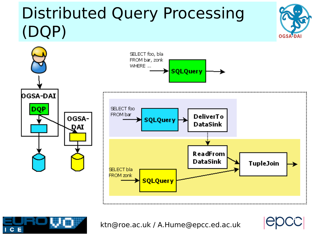#### Distributed Query Processing (DQP)



ktn@roe.ac.uk / A.Hume@epcc.ed.ac.uk

**8**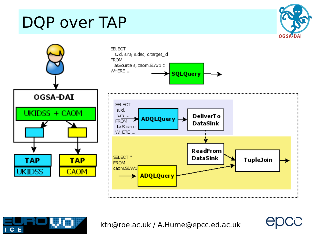#### DQP over TAP

ΙC

E



ktn@roe.ac.uk / A.Hume@epcc.ed.ac.uk

**9**

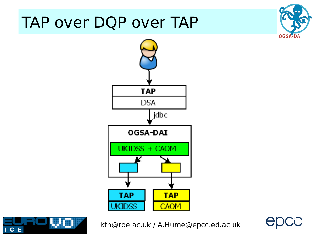#### TAP over DQP over TAP







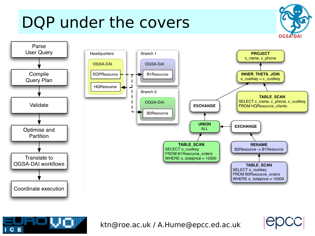### DQP under the covers





ktn@roe.ac.uk / A.Hume@epcc.ed.ac.uk

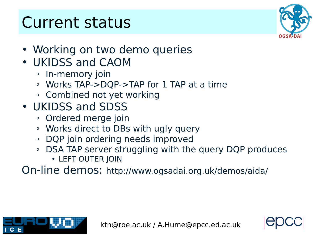#### Current status



- Working on two demo queries
- UKIDSS and CAOM
	- <sup>o</sup> In-memory join
	- <sup>o</sup> Works TAP->DQP->TAP for 1 TAP at a time
	- o Combined not yet working
- UKIDSS and SDSS
	- <sup>o</sup> Ordered merge join
	- <sup>o</sup> Works direct to DBs with ugly query
	- <sup>o</sup> DQP join ordering needs improved
	- <sup>o</sup> DSA TAP server struggling with the query DQP produces
		- LEFT OUTER JOIN

On-line demos: http://www.ogsadai.org.uk/demos/aida/



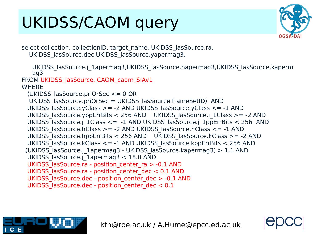### UKIDSS/CAOM query



select collection, collectionID, target name, UKIDSS lasSource.ra, UKIDSS\_lasSource.dec,UKIDSS\_lasSource.yapermag3,

UKIDSS\_lasSource.j\_1apermag3,UKIDSS\_lasSource.hapermag3,UKIDSS\_lasSource.kaperm ag3 FROM UKIDSS\_lasSource, CAOM\_caom\_SIAv1 **WHERE**  (UKIDSS\_lasSource.priOrSec <= 0 OR UKIDSS\_lasSource.priOrSec = UKIDSS\_lasSource.frameSetID) AND UKIDSS lasSource.yClass >= -2 AND UKIDSS lasSource.yClass <= -1 AND UKIDSS\_lasSource.yppErrBits < 256 AND UKIDSS\_lasSource.j\_1Class >= -2 AND UKIDSS lasSource.j 1Class <= -1 AND UKIDSS lasSource.j 1ppErrBits < 256 AND UKIDSS\_lasSource.hClass >= -2 AND UKIDSS\_lasSource.hClass <= -1 AND UKIDSS lasSource.hppErrBits < 256 AND UKIDSS lasSource.kClass >= -2 AND UKIDSS\_lasSource.kClass <= -1 AND UKIDSS\_lasSource.kppErrBits < 256 AND (UKIDSS\_lasSource.j\_1apermag3 - UKIDSS\_lasSource.kapermag3) > 1.1 AND UKIDSS\_lasSource.j\_1apermag3 < 18.0 AND UKIDSS lasSource.ra - position center ra > -0.1 AND UKIDSS lasSource.ra - position center dec < 0.1 AND UKIDSS lasSource.dec - position center dec > -0.1 AND UKIDSS lasSource.dec - position center dec < 0.1

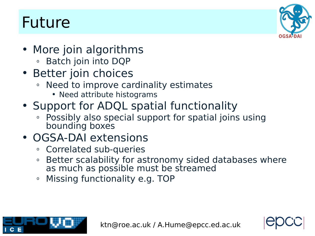#### Future



- More join algorithms
	- <sup>o</sup> Batch join into DQP
- Better join choices
	- <sup>o</sup> Need to improve cardinality estimates
		- Need attribute histograms
- Support for ADQL spatial functionality
	- Possibly also special support for spatial joins using bounding boxes

#### • OGSA-DAI extensions

- <sup>o</sup> Correlated sub-queries
- $\,\circ\,$  Better scalability for astronomy sided databases where as much as possible must be streamed
- <sup>o</sup> Missing functionality e.g. TOP